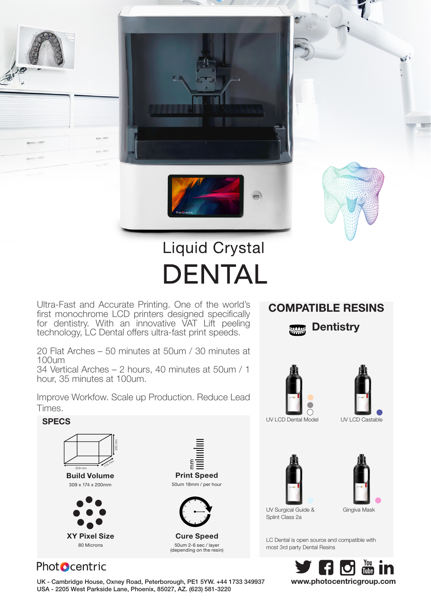

Ultra-Fast and Accurate Printing. One of the world's first monochrome LCD printers designed specifically for dentistry. With an innovative VAT Lift peeling technology, LC Dental offers ultra-fast print speeds.

20 Flat Arches – 50 minutes at 50um / 30 minutes at 100um

34 Vertical Arches – 2 hours, 40 minutes at 50um / 1 hour, 35 minutes at 100um.

Improve Workfow. Scale up Production. Reduce Lead Times.

## COMPATIBLE RESINS

**Dentistry** 





 $\mathbf{v}$ 





UV Surgical Guide & Splint Class 2a

Gingiva Mask

LC Dental is open source and compatible with most 3rd party Dental Resins



## Phot**O**centric

Build Volume 309 x 174 x 200mm

200 mm

**174 may** 

309 mm

XY Pixel Size 80 Microns

UK - Cambridge House, Oxney Road, Peterborough, PE1 5YW. +44 1733 349937 www.photocentricgroup.com USA - 2205 West Parkside Lane, Phoenix, 85027, AZ. (623) 581-3220

Cure Speed 50um 2-6 sec / layer (depending on the resin)

Print Speed 50um 18mm / per hour

E